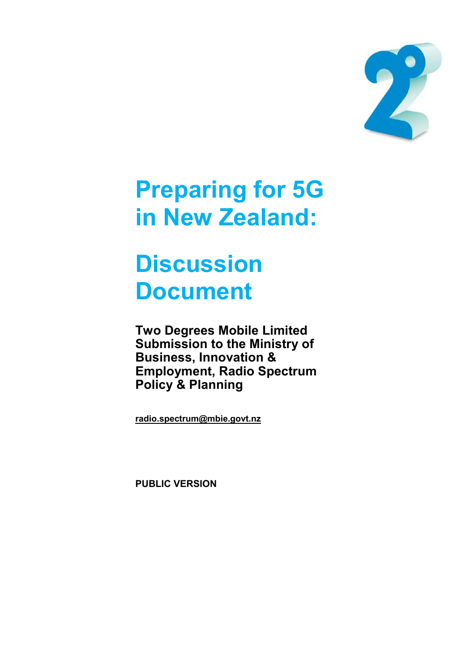

# **Preparing for 5G in New Zealand:**

# **Discussion Document**

**Two Degrees Mobile Limited Submission to the Ministry of Business, Innovation & Employment, Radio Spectrum Policy & Planning** 

**[radio.spectrum@mbie.govt.nz](mailto:radio.spectrum@mbie.govt.nz)**

**PUBLIC VERSION**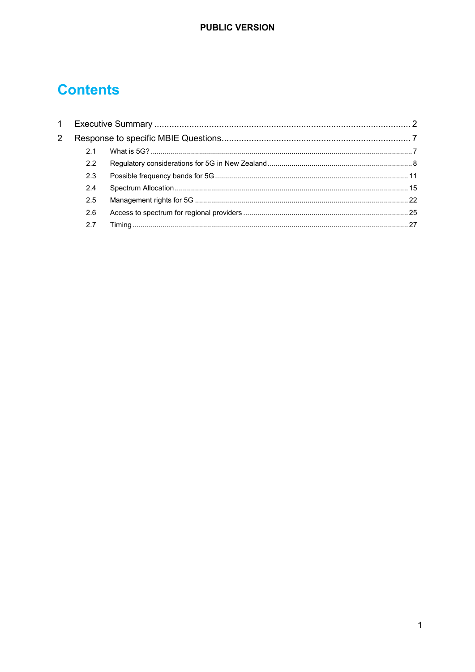# **Contents**

| 1              |     |  |  |  |
|----------------|-----|--|--|--|
| $\overline{2}$ |     |  |  |  |
|                | 2.1 |  |  |  |
|                | 2.2 |  |  |  |
|                | 2.3 |  |  |  |
|                | 2.4 |  |  |  |
|                | 2.5 |  |  |  |
|                | 2.6 |  |  |  |
|                | 2.7 |  |  |  |
|                |     |  |  |  |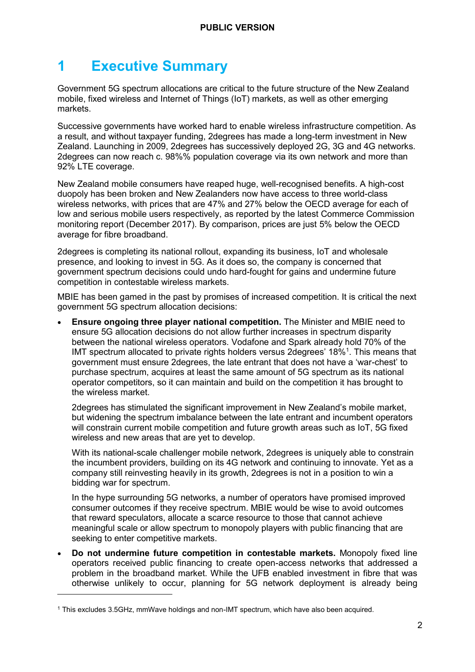# <span id="page-2-0"></span>**1 Executive Summary**

Government 5G spectrum allocations are critical to the future structure of the New Zealand mobile, fixed wireless and Internet of Things (IoT) markets, as well as other emerging markets.

Successive governments have worked hard to enable wireless infrastructure competition. As a result, and without taxpayer funding, 2degrees has made a long-term investment in New Zealand. Launching in 2009, 2degrees has successively deployed 2G, 3G and 4G networks. 2degrees can now reach c. 98%% population coverage via its own network and more than 92% LTE coverage.

New Zealand mobile consumers have reaped huge, well-recognised benefits. A high-cost duopoly has been broken and New Zealanders now have access to three world-class wireless networks, with prices that are 47% and 27% below the OECD average for each of low and serious mobile users respectively, as reported by the latest Commerce Commission monitoring report (December 2017). By comparison, prices are just 5% below the OECD average for fibre broadband.

2degrees is completing its national rollout, expanding its business, IoT and wholesale presence, and looking to invest in 5G. As it does so, the company is concerned that government spectrum decisions could undo hard-fought for gains and undermine future competition in contestable wireless markets.

MBIE has been gamed in the past by promises of increased competition. It is critical the next government 5G spectrum allocation decisions:

• **Ensure ongoing three player national competition.** The Minister and MBIE need to ensure 5G allocation decisions do not allow further increases in spectrum disparity between the national wireless operators. Vodafone and Spark already hold 70% of the IMT spectrum allocated to private rights holders versus 2degrees' 18%<sup>1</sup>. This means that government must ensure 2degrees, the late entrant that does not have a 'war-chest' to purchase spectrum, acquires at least the same amount of 5G spectrum as its national operator competitors, so it can maintain and build on the competition it has brought to the wireless market.

2degrees has stimulated the significant improvement in New Zealand's mobile market, but widening the spectrum imbalance between the late entrant and incumbent operators will constrain current mobile competition and future growth areas such as IoT, 5G fixed wireless and new areas that are yet to develop.

With its national-scale challenger mobile network, 2degrees is uniquely able to constrain the incumbent providers, building on its 4G network and continuing to innovate. Yet as a company still reinvesting heavily in its growth, 2degrees is not in a position to win a bidding war for spectrum.

In the hype surrounding 5G networks, a number of operators have promised improved consumer outcomes if they receive spectrum. MBIE would be wise to avoid outcomes that reward speculators, allocate a scarce resource to those that cannot achieve meaningful scale or allow spectrum to monopoly players with public financing that are seeking to enter competitive markets.

• **Do not undermine future competition in contestable markets.** Monopoly fixed line operators received public financing to create open-access networks that addressed a problem in the broadband market. While the UFB enabled investment in fibre that was otherwise unlikely to occur, planning for 5G network deployment is already being

<sup>1</sup> This excludes 3.5GHz, mmWave holdings and non-IMT spectrum, which have also been acquired.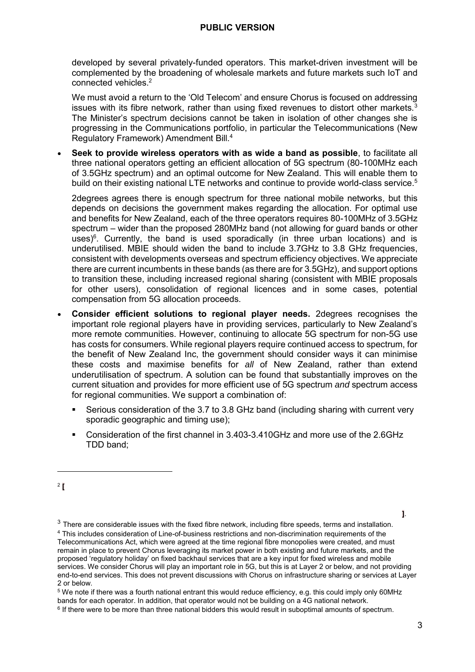developed by several privately-funded operators. This market-driven investment will be complemented by the broadening of wholesale markets and future markets such IoT and connected vehicles. 2

We must avoid a return to the 'Old Telecom' and ensure Chorus is focused on addressing issues with its fibre network, rather than using fixed revenues to distort other markets.<sup>3</sup> The Minister's spectrum decisions cannot be taken in isolation of other changes she is progressing in the Communications portfolio, in particular the Telecommunications (New Regulatory Framework) Amendment Bill.<sup>4</sup>

• **Seek to provide wireless operators with as wide a band as possible**, to facilitate all three national operators getting an efficient allocation of 5G spectrum (80-100MHz each of 3.5GHz spectrum) and an optimal outcome for New Zealand. This will enable them to build on their existing national LTE networks and continue to provide world-class service.<sup>5</sup>

2degrees agrees there is enough spectrum for three national mobile networks, but this depends on decisions the government makes regarding the allocation. For optimal use and benefits for New Zealand, each of the three operators requires 80-100MHz of 3.5GHz spectrum – wider than the proposed 280MHz band (not allowing for guard bands or other uses) $6$ . Currently, the band is used sporadically (in three urban locations) and is underutilised. MBIE should widen the band to include 3.7GHz to 3.8 GHz frequencies, consistent with developments overseas and spectrum efficiency objectives. We appreciate there are current incumbents in these bands (as there are for 3.5GHz), and support options to transition these, including increased regional sharing (consistent with MBIE proposals for other users), consolidation of regional licences and in some cases, potential compensation from 5G allocation proceeds.

- **Consider efficient solutions to regional player needs.** 2degrees recognises the important role regional players have in providing services, particularly to New Zealand's more remote communities. However, continuing to allocate 5G spectrum for non-5G use has costs for consumers. While regional players require continued access to spectrum, for the benefit of New Zealand Inc, the government should consider ways it can minimise these costs and maximise benefits for *all* of New Zealand, rather than extend underutilisation of spectrum. A solution can be found that substantially improves on the current situation and provides for more efficient use of 5G spectrum *and* spectrum access for regional communities. We support a combination of:
	- Serious consideration of the 3.7 to 3.8 GHz band (including sharing with current very sporadic geographic and timing use);
	- Consideration of the first channel in 3.403-3.410GHz and more use of the 2.6GHz TDD band;

-

**]**.

<sup>2</sup> **[**

 $3$  There are considerable issues with the fixed fibre network, including fibre speeds, terms and installation. <sup>4</sup> This includes consideration of Line-of-business restrictions and non-discrimination requirements of the Telecommunications Act, which were agreed at the time regional fibre monopolies were created, and must remain in place to prevent Chorus leveraging its market power in both existing and future markets, and the proposed 'regulatory holiday' on fixed backhaul services that are a key input for fixed wireless and mobile services. We consider Chorus will play an important role in 5G, but this is at Layer 2 or below, and not providing end-to-end services. This does not prevent discussions with Chorus on infrastructure sharing or services at Layer 2 or below.

<sup>5</sup> We note if there was a fourth national entrant this would reduce efficiency, e.g. this could imply only 60MHz bands for each operator. In addition, that operator would not be building on a 4G national network.

<sup>6</sup> If there were to be more than three national bidders this would result in suboptimal amounts of spectrum.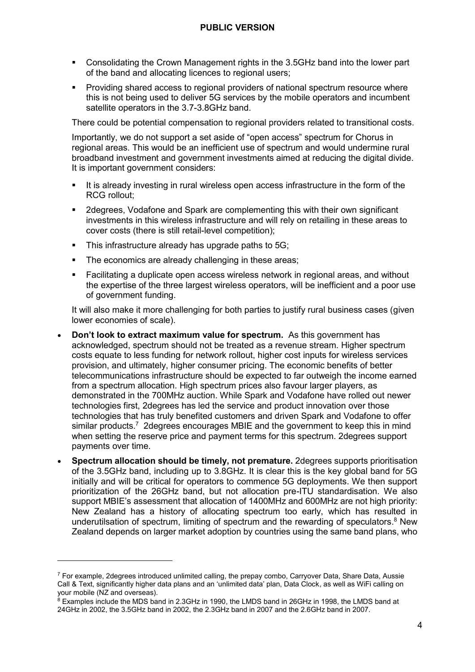- Consolidating the Crown Management rights in the 3.5GHz band into the lower part of the band and allocating licences to regional users;
- Providing shared access to regional providers of national spectrum resource where this is not being used to deliver 5G services by the mobile operators and incumbent satellite operators in the 3.7-3.8GHz band.

There could be potential compensation to regional providers related to transitional costs.

Importantly, we do not support a set aside of "open access" spectrum for Chorus in regional areas. This would be an inefficient use of spectrum and would undermine rural broadband investment and government investments aimed at reducing the digital divide. It is important government considers:

- **.** It is already investing in rural wireless open access infrastructure in the form of the RCG rollout;
- 2degrees, Vodafone and Spark are complementing this with their own significant investments in this wireless infrastructure and will rely on retailing in these areas to cover costs (there is still retail-level competition);
- **•** This infrastructure already has upgrade paths to 5G;
- **•** The economics are already challenging in these areas;
- **EXECT** Facilitating a duplicate open access wireless network in regional areas, and without the expertise of the three largest wireless operators, will be inefficient and a poor use of government funding.

It will also make it more challenging for both parties to justify rural business cases (given lower economies of scale).

- **Don't look to extract maximum value for spectrum.** As this government has acknowledged, spectrum should not be treated as a revenue stream. Higher spectrum costs equate to less funding for network rollout, higher cost inputs for wireless services provision, and ultimately, higher consumer pricing. The economic benefits of better telecommunications infrastructure should be expected to far outweigh the income earned from a spectrum allocation. High spectrum prices also favour larger players, as demonstrated in the 700MHz auction. While Spark and Vodafone have rolled out newer technologies first, 2degrees has led the service and product innovation over those technologies that has truly benefited customers and driven Spark and Vodafone to offer similar products.<sup>7</sup> 2degrees encourages MBIE and the government to keep this in mind when setting the reserve price and payment terms for this spectrum. 2degrees support payments over time.
- **Spectrum allocation should be timely, not premature.** 2degrees supports prioritisation of the 3.5GHz band, including up to 3.8GHz. It is clear this is the key global band for 5G initially and will be critical for operators to commence 5G deployments. We then support prioritization of the 26GHz band, but not allocation pre-ITU standardisation. We also support MBIE's assessment that allocation of 1400MHz and 600MHz are not high priority: New Zealand has a history of allocating spectrum too early, which has resulted in underutilsation of spectrum, limiting of spectrum and the rewarding of speculators. <sup>8</sup> New Zealand depends on larger market adoption by countries using the same band plans, who

<sup>&</sup>lt;sup>7</sup> For example, 2degrees introduced unlimited calling, the prepay combo, Carryover Data, Share Data, Aussie Call & Text, significantly higher data plans and an 'unlimited data' plan, Data Clock, as well as WiFi calling on your mobile (NZ and overseas).

<sup>&</sup>lt;sup>8</sup> Examples include the MDS band in 2.3GHz in 1990, the LMDS band in 26GHz in 1998, the LMDS band at 24GHz in 2002, the 3.5GHz band in 2002, the 2.3GHz band in 2007 and the 2.6GHz band in 2007.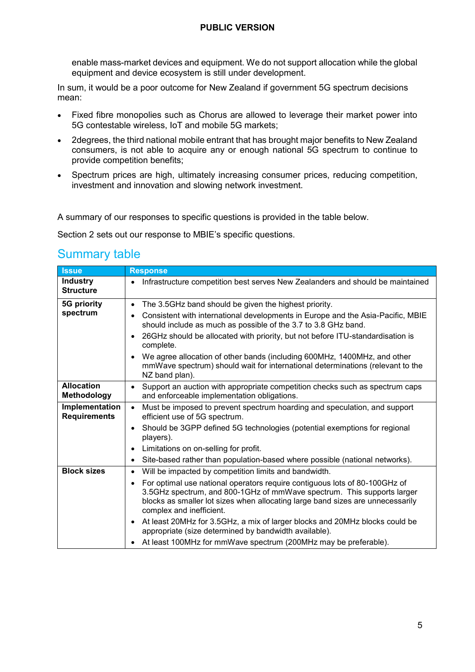enable mass-market devices and equipment. We do not support allocation while the global equipment and device ecosystem is still under development.

In sum, it would be a poor outcome for New Zealand if government 5G spectrum decisions mean:

- Fixed fibre monopolies such as Chorus are allowed to leverage their market power into 5G contestable wireless, IoT and mobile 5G markets;
- 2degrees, the third national mobile entrant that has brought major benefits to New Zealand consumers, is not able to acquire any or enough national 5G spectrum to continue to provide competition benefits;
- Spectrum prices are high, ultimately increasing consumer prices, reducing competition, investment and innovation and slowing network investment.

A summary of our responses to specific questions is provided in the table below.

Section 2 sets out our response to MBIE's specific questions.

### Summary table

| <b>Issue</b>                          | <b>Response</b>                                                                                                                                                                                                                                                                 |
|---------------------------------------|---------------------------------------------------------------------------------------------------------------------------------------------------------------------------------------------------------------------------------------------------------------------------------|
| <b>Industry</b><br><b>Structure</b>   | Infrastructure competition best serves New Zealanders and should be maintained<br>$\bullet$                                                                                                                                                                                     |
| 5G priority                           | The 3.5GHz band should be given the highest priority.<br>$\bullet$                                                                                                                                                                                                              |
| spectrum                              | Consistent with international developments in Europe and the Asia-Pacific, MBIE<br>should include as much as possible of the 3.7 to 3.8 GHz band.                                                                                                                               |
|                                       | 26GHz should be allocated with priority, but not before ITU-standardisation is<br>complete.                                                                                                                                                                                     |
|                                       | We agree allocation of other bands (including 600MHz, 1400MHz, and other<br>mmWave spectrum) should wait for international determinations (relevant to the<br>NZ band plan).                                                                                                    |
| <b>Allocation</b><br>Methodology      | Support an auction with appropriate competition checks such as spectrum caps<br>$\bullet$<br>and enforceable implementation obligations.                                                                                                                                        |
| Implementation<br><b>Requirements</b> | Must be imposed to prevent spectrum hoarding and speculation, and support<br>$\bullet$<br>efficient use of 5G spectrum.                                                                                                                                                         |
|                                       | Should be 3GPP defined 5G technologies (potential exemptions for regional<br>players).                                                                                                                                                                                          |
|                                       | Limitations on on-selling for profit.<br>$\bullet$                                                                                                                                                                                                                              |
|                                       | Site-based rather than population-based where possible (national networks).<br>٠                                                                                                                                                                                                |
| <b>Block sizes</b>                    | Will be impacted by competition limits and bandwidth.<br>$\bullet$                                                                                                                                                                                                              |
|                                       | For optimal use national operators require contiguous lots of 80-100GHz of<br>$\bullet$<br>3.5GHz spectrum, and 800-1GHz of mmWave spectrum. This supports larger<br>blocks as smaller lot sizes when allocating large band sizes are unnecessarily<br>complex and inefficient. |
|                                       | At least 20MHz for 3.5GHz, a mix of larger blocks and 20MHz blocks could be<br>appropriate (size determined by bandwidth available).                                                                                                                                            |
|                                       | At least 100MHz for mmWave spectrum (200MHz may be preferable).                                                                                                                                                                                                                 |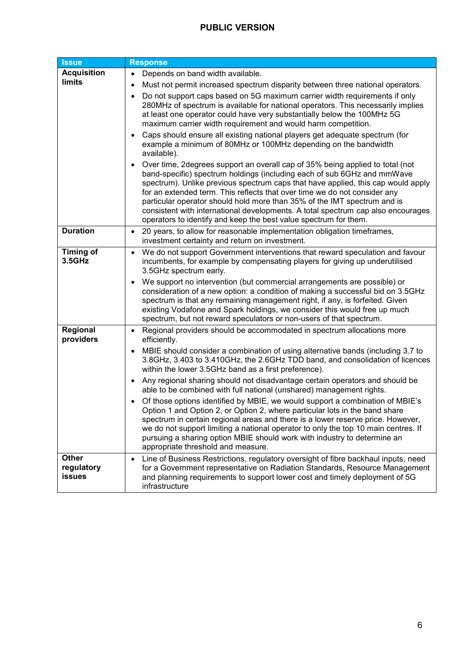| <b>Issue</b>                                | Response                                                                                                                                                                                                                                                                                                                                                                                                                                                                                                                                                                                                                                                                                                                                                                                                                                                                                                                                                                                                                                                                                                                                                                                      |
|---------------------------------------------|-----------------------------------------------------------------------------------------------------------------------------------------------------------------------------------------------------------------------------------------------------------------------------------------------------------------------------------------------------------------------------------------------------------------------------------------------------------------------------------------------------------------------------------------------------------------------------------------------------------------------------------------------------------------------------------------------------------------------------------------------------------------------------------------------------------------------------------------------------------------------------------------------------------------------------------------------------------------------------------------------------------------------------------------------------------------------------------------------------------------------------------------------------------------------------------------------|
| <b>Acquisition</b><br>limits                | Depends on band width available.<br>$\bullet$<br>Must not permit increased spectrum disparity between three national operators.<br>Do not support caps based on 5G maximum carrier width requirements if only<br>280MHz of spectrum is available for national operators. This necessarily implies<br>at least one operator could have very substantially below the 100MHz 5G<br>maximum carrier width requirement and would harm competition.<br>Caps should ensure all existing national players get adequate spectrum (for<br>$\bullet$<br>example a minimum of 80MHz or 100MHz depending on the bandwidth<br>available).<br>Over time, 2 degrees support an overall cap of 35% being applied to total (not<br>band-specific) spectrum holdings (including each of sub 6GHz and mmWave<br>spectrum). Unlike previous spectrum caps that have applied, this cap would apply<br>for an extended term. This reflects that over time we do not consider any<br>particular operator should hold more than 35% of the IMT spectrum and is<br>consistent with international developments. A total spectrum cap also encourages<br>operators to identify and keep the best value spectrum for them. |
| <b>Duration</b>                             | 20 years, to allow for reasonable implementation obligation timeframes,<br>$\bullet$<br>investment certainty and return on investment.                                                                                                                                                                                                                                                                                                                                                                                                                                                                                                                                                                                                                                                                                                                                                                                                                                                                                                                                                                                                                                                        |
| <b>Timing of</b><br>3.5GHz                  | We do not support Government interventions that reward speculation and favour<br>$\bullet$<br>incumbents, for example by compensating players for giving up underutilised<br>3.5GHz spectrum early.<br>We support no intervention (but commercial arrangements are possible) or<br>consideration of a new option: a condition of making a successful bid on 3.5GHz<br>spectrum is that any remaining management right, if any, is forfeited. Given<br>existing Vodafone and Spark holdings, we consider this would free up much<br>spectrum, but not reward speculators or non-users of that spectrum.                                                                                                                                                                                                                                                                                                                                                                                                                                                                                                                                                                                        |
| Regional<br>providers                       | Regional providers should be accommodated in spectrum allocations more<br>$\bullet$<br>efficiently.<br>MBIE should consider a combination of using alternative bands (including 3.7 to<br>3.8GHz, 3.403 to 3.410GHz, the 2.6GHz TDD band, and consolidation of licences<br>within the lower 3.5GHz band as a first preference).<br>Any regional sharing should not disadvantage certain operators and should be<br>able to be combined with full national (unshared) management rights.<br>Of those options identified by MBIE, we would support a combination of MBIE's<br>Option 1 and Option 2, or Option 2, where particular lots in the band share<br>spectrum in certain regional areas and there is a lower reserve price. However,<br>we do not support limiting a national operator to only the top 10 main centres. If<br>pursuing a sharing option MBIE should work with industry to determine an<br>appropriate threshold and measure.                                                                                                                                                                                                                                            |
| <b>Other</b><br>regulatory<br><b>issues</b> | Line of Business Restrictions, regulatory oversight of fibre backhaul inputs, need<br>$\bullet$<br>for a Government representative on Radiation Standards, Resource Management<br>and planning requirements to support lower cost and timely deployment of 5G<br>infrastructure                                                                                                                                                                                                                                                                                                                                                                                                                                                                                                                                                                                                                                                                                                                                                                                                                                                                                                               |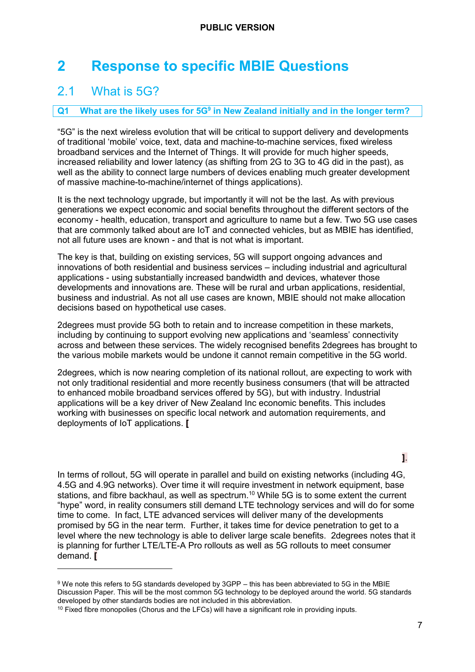# <span id="page-7-0"></span>**2 Response to specific MBIE Questions**

# <span id="page-7-1"></span>2.1 What is 5G?

-

#### **Q1 What are the likely uses for 5G<sup>9</sup> in New Zealand initially and in the longer term?**

"5G" is the next wireless evolution that will be critical to support delivery and developments of traditional 'mobile' voice, text, data and machine-to-machine services, fixed wireless broadband services and the Internet of Things. It will provide for much higher speeds, increased reliability and lower latency (as shifting from 2G to 3G to 4G did in the past), as well as the ability to connect large numbers of devices enabling much greater development of massive machine-to-machine/internet of things applications).

It is the next technology upgrade, but importantly it will not be the last. As with previous generations we expect economic and social benefits throughout the different sectors of the economy - health, education, transport and agriculture to name but a few. Two 5G use cases that are commonly talked about are IoT and connected vehicles, but as MBIE has identified, not all future uses are known - and that is not what is important.

The key is that, building on existing services, 5G will support ongoing advances and innovations of both residential and business services – including industrial and agricultural applications - using substantially increased bandwidth and devices, whatever those developments and innovations are. These will be rural and urban applications, residential, business and industrial. As not all use cases are known, MBIE should not make allocation decisions based on hypothetical use cases.

2degrees must provide 5G both to retain and to increase competition in these markets, including by continuing to support evolving new applications and 'seamless' connectivity across and between these services. The widely recognised benefits 2degrees has brought to the various mobile markets would be undone it cannot remain competitive in the 5G world.

2degrees, which is now nearing completion of its national rollout, are expecting to work with not only traditional residential and more recently business consumers (that will be attracted to enhanced mobile broadband services offered by 5G), but with industry. Industrial applications will be a key driver of New Zealand Inc economic benefits. This includes working with businesses on specific local network and automation requirements, and deployments of IoT applications. **[**

In terms of rollout, 5G will operate in parallel and build on existing networks (including 4G, 4.5G and 4.9G networks). Over time it will require investment in network equipment, base stations, and fibre backhaul, as well as spectrum. <sup>10</sup> While 5G is to some extent the current "hype" word, in reality consumers still demand LTE technology services and will do for some time to come. In fact, LTE advanced services will deliver many of the developments promised by 5G in the near term. Further, it takes time for device penetration to get to a level where the new technology is able to deliver large scale benefits. 2degrees notes that it is planning for further LTE/LTE-A Pro rollouts as well as 5G rollouts to meet consumer demand. **[**

**]**.

<sup>9</sup> We note this refers to 5G standards developed by 3GPP – this has been abbreviated to 5G in the MBIE Discussion Paper. This will be the most common 5G technology to be deployed around the world. 5G standards developed by other standards bodies are not included in this abbreviation.

 $10$  Fixed fibre monopolies (Chorus and the LFCs) will have a significant role in providing inputs.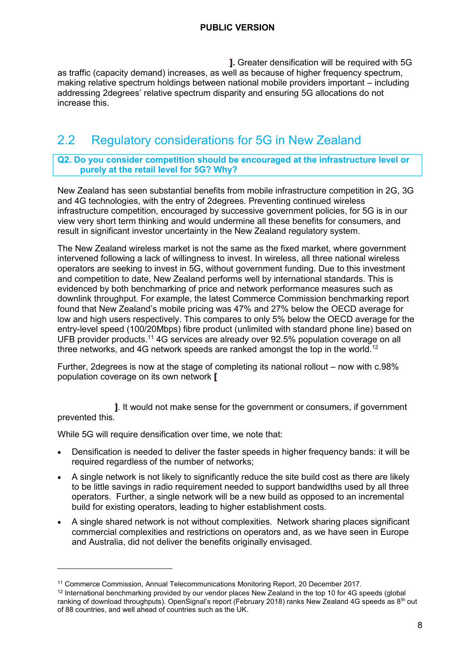**].** Greater densification will be required with 5G as traffic (capacity demand) increases, as well as because of higher frequency spectrum, making relative spectrum holdings between national mobile providers important – including addressing 2degrees' relative spectrum disparity and ensuring 5G allocations do not increase this.

# <span id="page-8-0"></span>2.2 Regulatory considerations for 5G in New Zealand

#### **Q2. Do you consider competition should be encouraged at the infrastructure level or purely at the retail level for 5G? Why?**

New Zealand has seen substantial benefits from mobile infrastructure competition in 2G, 3G and 4G technologies, with the entry of 2degrees. Preventing continued wireless infrastructure competition, encouraged by successive government policies, for 5G is in our view very short term thinking and would undermine all these benefits for consumers, and result in significant investor uncertainty in the New Zealand regulatory system.

The New Zealand wireless market is not the same as the fixed market, where government intervened following a lack of willingness to invest. In wireless, all three national wireless operators are seeking to invest in 5G, without government funding. Due to this investment and competition to date, New Zealand performs well by international standards. This is evidenced by both benchmarking of price and network performance measures such as downlink throughput. For example, the latest Commerce Commission benchmarking report found that New Zealand's mobile pricing was 47% and 27% below the OECD average for low and high users respectively. This compares to only 5% below the OECD average for the entry-level speed (100/20Mbps) fibre product (unlimited with standard phone line) based on UFB provider products.<sup>11</sup> 4G services are already over 92.5% population coverage on all three networks, and 4G network speeds are ranked amongst the top in the world.<sup>12</sup>

Further, 2degrees is now at the stage of completing its national rollout – now with c.98% population coverage on its own network **[**

**]**. It would not make sense for the government or consumers, if government prevented this.

While 5G will require densification over time, we note that:

- Densification is needed to deliver the faster speeds in higher frequency bands: it will be required regardless of the number of networks;
- A single network is not likely to significantly reduce the site build cost as there are likely to be little savings in radio requirement needed to support bandwidths used by all three operators. Further, a single network will be a new build as opposed to an incremental build for existing operators, leading to higher establishment costs.
- A single shared network is not without complexities. Network sharing places significant commercial complexities and restrictions on operators and, as we have seen in Europe and Australia, did not deliver the benefits originally envisaged.

<sup>11</sup> Commerce Commission, Annual Telecommunications Monitoring Report, 20 December 2017.

<sup>&</sup>lt;sup>12</sup> International benchmarking provided by our vendor places New Zealand in the top 10 for 4G speeds (global ranking of download throughputs). OpenSignal's report (February 2018) ranks New Zealand 4G speeds as 8<sup>th</sup> out of 88 countries, and well ahead of countries such as the UK.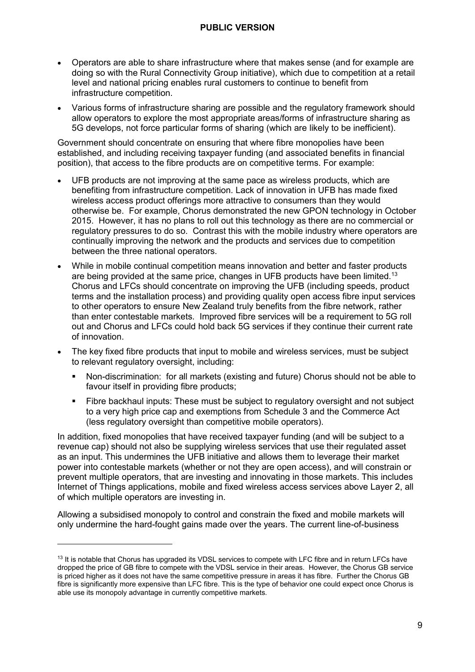- Operators are able to share infrastructure where that makes sense (and for example are doing so with the Rural Connectivity Group initiative), which due to competition at a retail level and national pricing enables rural customers to continue to benefit from infrastructure competition.
- Various forms of infrastructure sharing are possible and the regulatory framework should allow operators to explore the most appropriate areas/forms of infrastructure sharing as 5G develops, not force particular forms of sharing (which are likely to be inefficient).

Government should concentrate on ensuring that where fibre monopolies have been established, and including receiving taxpayer funding (and associated benefits in financial position), that access to the fibre products are on competitive terms. For example:

- UFB products are not improving at the same pace as wireless products, which are benefiting from infrastructure competition. Lack of innovation in UFB has made fixed wireless access product offerings more attractive to consumers than they would otherwise be. For example, Chorus demonstrated the new GPON technology in October 2015. However, it has no plans to roll out this technology as there are no commercial or regulatory pressures to do so. Contrast this with the mobile industry where operators are continually improving the network and the products and services due to competition between the three national operators.
- While in mobile continual competition means innovation and better and faster products are being provided at the same price, changes in UFB products have been limited.<sup>13</sup> Chorus and LFCs should concentrate on improving the UFB (including speeds, product terms and the installation process) and providing quality open access fibre input services to other operators to ensure New Zealand truly benefits from the fibre network, rather than enter contestable markets. Improved fibre services will be a requirement to 5G roll out and Chorus and LFCs could hold back 5G services if they continue their current rate of innovation.
- The key fixed fibre products that input to mobile and wireless services, must be subject to relevant regulatory oversight, including:
	- Non-discrimination: for all markets (existing and future) Chorus should not be able to favour itself in providing fibre products;
	- Fibre backhaul inputs: These must be subject to regulatory oversight and not subject to a very high price cap and exemptions from Schedule 3 and the Commerce Act (less regulatory oversight than competitive mobile operators).

In addition, fixed monopolies that have received taxpayer funding (and will be subject to a revenue cap) should not also be supplying wireless services that use their regulated asset as an input. This undermines the UFB initiative and allows them to leverage their market power into contestable markets (whether or not they are open access), and will constrain or prevent multiple operators, that are investing and innovating in those markets. This includes Internet of Things applications, mobile and fixed wireless access services above Layer 2, all of which multiple operators are investing in.

Allowing a subsidised monopoly to control and constrain the fixed and mobile markets will only undermine the hard-fought gains made over the years. The current line-of-business

<sup>&</sup>lt;sup>13</sup> It is notable that Chorus has upgraded its VDSL services to compete with LFC fibre and in return LFCs have dropped the price of GB fibre to compete with the VDSL service in their areas. However, the Chorus GB service is priced higher as it does not have the same competitive pressure in areas it has fibre. Further the Chorus GB fibre is significantly more expensive than LFC fibre. This is the type of behavior one could expect once Chorus is able use its monopoly advantage in currently competitive markets.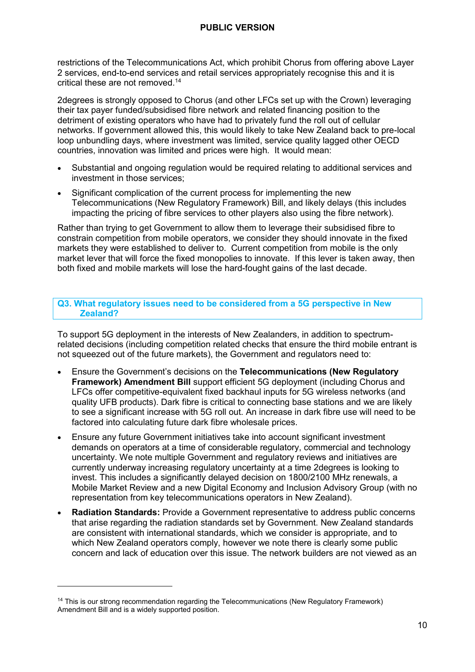restrictions of the Telecommunications Act, which prohibit Chorus from offering above Layer 2 services, end-to-end services and retail services appropriately recognise this and it is critical these are not removed. 14

2degrees is strongly opposed to Chorus (and other LFCs set up with the Crown) leveraging their tax payer funded/subsidised fibre network and related financing position to the detriment of existing operators who have had to privately fund the roll out of cellular networks. If government allowed this, this would likely to take New Zealand back to pre-local loop unbundling days, where investment was limited, service quality lagged other OECD countries, innovation was limited and prices were high. It would mean:

- Substantial and ongoing regulation would be required relating to additional services and investment in those services;
- Significant complication of the current process for implementing the new Telecommunications (New Regulatory Framework) Bill, and likely delays (this includes impacting the pricing of fibre services to other players also using the fibre network).

Rather than trying to get Government to allow them to leverage their subsidised fibre to constrain competition from mobile operators, we consider they should innovate in the fixed markets they were established to deliver to. Current competition from mobile is the only market lever that will force the fixed monopolies to innovate. If this lever is taken away, then both fixed and mobile markets will lose the hard-fought gains of the last decade.

#### **Q3. What regulatory issues need to be considered from a 5G perspective in New Zealand?**

To support 5G deployment in the interests of New Zealanders, in addition to spectrumrelated decisions (including competition related checks that ensure the third mobile entrant is not squeezed out of the future markets), the Government and regulators need to:

- Ensure the Government's decisions on the **Telecommunications (New Regulatory Framework) Amendment Bill** support efficient 5G deployment (including Chorus and LFCs offer competitive-equivalent fixed backhaul inputs for 5G wireless networks (and quality UFB products). Dark fibre is critical to connecting base stations and we are likely to see a significant increase with 5G roll out. An increase in dark fibre use will need to be factored into calculating future dark fibre wholesale prices.
- Ensure any future Government initiatives take into account significant investment demands on operators at a time of considerable regulatory, commercial and technology uncertainty. We note multiple Government and regulatory reviews and initiatives are currently underway increasing regulatory uncertainty at a time 2degrees is looking to invest. This includes a significantly delayed decision on 1800/2100 MHz renewals, a Mobile Market Review and a new Digital Economy and Inclusion Advisory Group (with no representation from key telecommunications operators in New Zealand).
- **Radiation Standards:** Provide a Government representative to address public concerns that arise regarding the radiation standards set by Government. New Zealand standards are consistent with international standards, which we consider is appropriate, and to which New Zealand operators comply, however we note there is clearly some public concern and lack of education over this issue. The network builders are not viewed as an

<sup>&</sup>lt;sup>14</sup> This is our strong recommendation regarding the Telecommunications (New Regulatory Framework) Amendment Bill and is a widely supported position.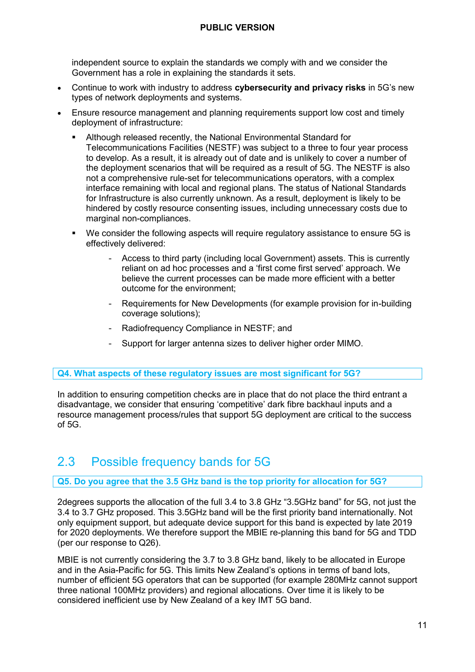independent source to explain the standards we comply with and we consider the Government has a role in explaining the standards it sets.

- Continue to work with industry to address **cybersecurity and privacy risks** in 5G's new types of network deployments and systems.
- Ensure resource management and planning requirements support low cost and timely deployment of infrastructure:
	- Although released recently, the National Environmental Standard for Telecommunications Facilities (NESTF) was subject to a three to four year process to develop. As a result, it is already out of date and is unlikely to cover a number of the deployment scenarios that will be required as a result of 5G. The NESTF is also not a comprehensive rule-set for telecommunications operators, with a complex interface remaining with local and regional plans. The status of National Standards for Infrastructure is also currently unknown. As a result, deployment is likely to be hindered by costly resource consenting issues, including unnecessary costs due to marginal non-compliances.
	- We consider the following aspects will require regulatory assistance to ensure 5G is effectively delivered:
		- Access to third party (including local Government) assets. This is currently reliant on ad hoc processes and a 'first come first served' approach. We believe the current processes can be made more efficient with a better outcome for the environment;
		- Requirements for New Developments (for example provision for in-building coverage solutions);
		- Radiofrequency Compliance in NESTF; and
		- Support for larger antenna sizes to deliver higher order MIMO.

#### **Q4. What aspects of these regulatory issues are most significant for 5G?**

In addition to ensuring competition checks are in place that do not place the third entrant a disadvantage, we consider that ensuring 'competitive' dark fibre backhaul inputs and a resource management process/rules that support 5G deployment are critical to the success  $of$  5 $G$ .

# <span id="page-11-0"></span>2.3 Possible frequency bands for 5G

#### **Q5. Do you agree that the 3.5 GHz band is the top priority for allocation for 5G?**

2degrees supports the allocation of the full 3.4 to 3.8 GHz "3.5GHz band" for 5G, not just the 3.4 to 3.7 GHz proposed. This 3.5GHz band will be the first priority band internationally. Not only equipment support, but adequate device support for this band is expected by late 2019 for 2020 deployments. We therefore support the MBIE re-planning this band for 5G and TDD (per our response to Q26).

MBIE is not currently considering the 3.7 to 3.8 GHz band, likely to be allocated in Europe and in the Asia-Pacific for 5G. This limits New Zealand's options in terms of band lots, number of efficient 5G operators that can be supported (for example 280MHz cannot support three national 100MHz providers) and regional allocations. Over time it is likely to be considered inefficient use by New Zealand of a key IMT 5G band.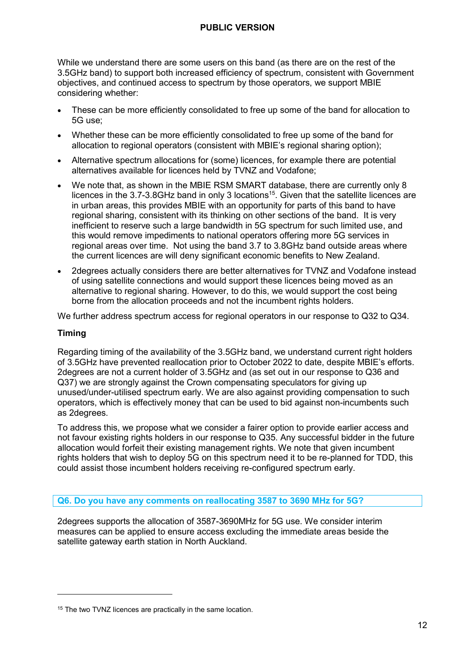While we understand there are some users on this band (as there are on the rest of the 3.5GHz band) to support both increased efficiency of spectrum, consistent with Government objectives, and continued access to spectrum by those operators, we support MBIE considering whether:

- These can be more efficiently consolidated to free up some of the band for allocation to 5G use;
- Whether these can be more efficiently consolidated to free up some of the band for allocation to regional operators (consistent with MBIE's regional sharing option);
- Alternative spectrum allocations for (some) licences, for example there are potential alternatives available for licences held by TVNZ and Vodafone;
- We note that, as shown in the MBIE RSM SMART database, there are currently only 8 licences in the 3.7-3.8GHz band in only 3 locations<sup>15</sup>. Given that the satellite licences are in urban areas, this provides MBIE with an opportunity for parts of this band to have regional sharing, consistent with its thinking on other sections of the band. It is very inefficient to reserve such a large bandwidth in 5G spectrum for such limited use, and this would remove impediments to national operators offering more 5G services in regional areas over time. Not using the band 3.7 to 3.8GHz band outside areas where the current licences are will deny significant economic benefits to New Zealand.
- 2degrees actually considers there are better alternatives for TVNZ and Vodafone instead of using satellite connections and would support these licences being moved as an alternative to regional sharing. However, to do this, we would support the cost being borne from the allocation proceeds and not the incumbent rights holders.

We further address spectrum access for regional operators in our response to Q32 to Q34.

#### **Timing**

-

Regarding timing of the availability of the 3.5GHz band, we understand current right holders of 3.5GHz have prevented reallocation prior to October 2022 to date, despite MBIE's efforts. 2degrees are not a current holder of 3.5GHz and (as set out in our response to Q36 and Q37) we are strongly against the Crown compensating speculators for giving up unused/under-utilised spectrum early. We are also against providing compensation to such operators, which is effectively money that can be used to bid against non-incumbents such as 2degrees.

To address this, we propose what we consider a fairer option to provide earlier access and not favour existing rights holders in our response to Q35. Any successful bidder in the future allocation would forfeit their existing management rights. We note that given incumbent rights holders that wish to deploy 5G on this spectrum need it to be re-planned for TDD, this could assist those incumbent holders receiving re-configured spectrum early.

**Q6. Do you have any comments on reallocating 3587 to 3690 MHz for 5G?** 

2degrees supports the allocation of 3587-3690MHz for 5G use. We consider interim measures can be applied to ensure access excluding the immediate areas beside the satellite gateway earth station in North Auckland.

<sup>&</sup>lt;sup>15</sup> The two TVNZ licences are practically in the same location.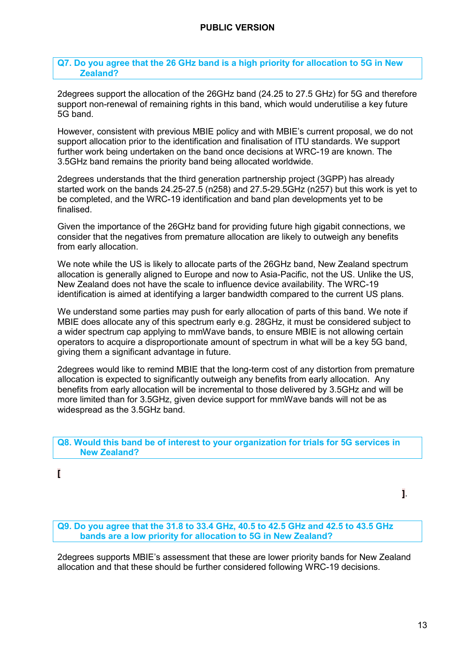**Q7. Do you agree that the 26 GHz band is a high priority for allocation to 5G in New Zealand?** 

2degrees support the allocation of the 26GHz band (24.25 to 27.5 GHz) for 5G and therefore support non-renewal of remaining rights in this band, which would underutilise a key future 5G band.

However, consistent with previous MBIE policy and with MBIE's current proposal, we do not support allocation prior to the identification and finalisation of ITU standards. We support further work being undertaken on the band once decisions at WRC-19 are known. The 3.5GHz band remains the priority band being allocated worldwide.

2degrees understands that the third generation partnership project (3GPP) has already started work on the bands 24.25-27.5 (n258) and 27.5-29.5GHz (n257) but this work is yet to be completed, and the WRC-19 identification and band plan developments yet to be finalised.

Given the importance of the 26GHz band for providing future high gigabit connections, we consider that the negatives from premature allocation are likely to outweigh any benefits from early allocation.

We note while the US is likely to allocate parts of the 26GHz band, New Zealand spectrum allocation is generally aligned to Europe and now to Asia-Pacific, not the US. Unlike the US, New Zealand does not have the scale to influence device availability. The WRC-19 identification is aimed at identifying a larger bandwidth compared to the current US plans.

We understand some parties may push for early allocation of parts of this band. We note if MBIE does allocate any of this spectrum early e.g. 28GHz, it must be considered subject to a wider spectrum cap applying to mmWave bands, to ensure MBIE is not allowing certain operators to acquire a disproportionate amount of spectrum in what will be a key 5G band, giving them a significant advantage in future.

2degrees would like to remind MBIE that the long-term cost of any distortion from premature allocation is expected to significantly outweigh any benefits from early allocation. Any benefits from early allocation will be incremental to those delivered by 3.5GHz and will be more limited than for 3.5GHz, given device support for mmWave bands will not be as widespread as the 3.5GHz band.

#### **Q8. Would this band be of interest to your organization for trials for 5G services in New Zealand?**

**[**

**Q9. Do you agree that the 31.8 to 33.4 GHz, 40.5 to 42.5 GHz and 42.5 to 43.5 GHz bands are a low priority for allocation to 5G in New Zealand?** 

2degrees supports MBIE's assessment that these are lower priority bands for New Zealand allocation and that these should be further considered following WRC-19 decisions.

**]**.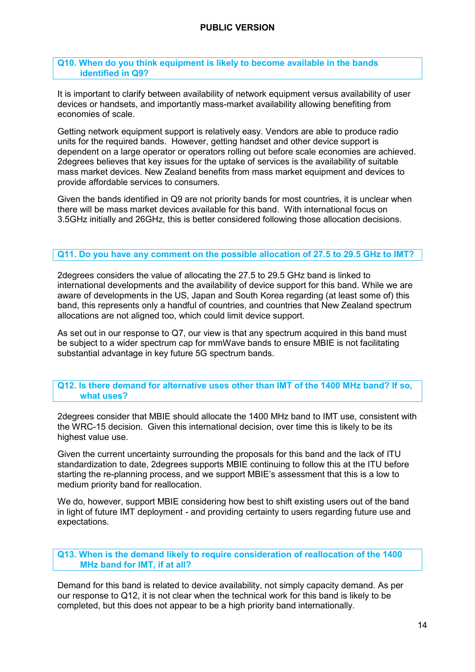#### **Q10. When do you think equipment is likely to become available in the bands identified in Q9?**

It is important to clarify between availability of network equipment versus availability of user devices or handsets, and importantly mass-market availability allowing benefiting from economies of scale.

Getting network equipment support is relatively easy. Vendors are able to produce radio units for the required bands. However, getting handset and other device support is dependent on a large operator or operators rolling out before scale economies are achieved. 2degrees believes that key issues for the uptake of services is the availability of suitable mass market devices. New Zealand benefits from mass market equipment and devices to provide affordable services to consumers.

Given the bands identified in Q9 are not priority bands for most countries, it is unclear when there will be mass market devices available for this band. With international focus on 3.5GHz initially and 26GHz, this is better considered following those allocation decisions.

#### **Q11. Do you have any comment on the possible allocation of 27.5 to 29.5 GHz to IMT?**

2degrees considers the value of allocating the 27.5 to 29.5 GHz band is linked to international developments and the availability of device support for this band. While we are aware of developments in the US, Japan and South Korea regarding (at least some of) this band, this represents only a handful of countries, and countries that New Zealand spectrum allocations are not aligned too, which could limit device support.

As set out in our response to Q7, our view is that any spectrum acquired in this band must be subject to a wider spectrum cap for mmWave bands to ensure MBIE is not facilitating substantial advantage in key future 5G spectrum bands.

**Q12. Is there demand for alternative uses other than IMT of the 1400 MHz band? If so, what uses?** 

2degrees consider that MBIE should allocate the 1400 MHz band to IMT use, consistent with the WRC-15 decision. Given this international decision, over time this is likely to be its highest value use.

Given the current uncertainty surrounding the proposals for this band and the lack of ITU standardization to date, 2degrees supports MBIE continuing to follow this at the ITU before starting the re-planning process, and we support MBIE's assessment that this is a low to medium priority band for reallocation.

We do, however, support MBIE considering how best to shift existing users out of the band in light of future IMT deployment - and providing certainty to users regarding future use and expectations.

**Q13. When is the demand likely to require consideration of reallocation of the 1400 MHz band for IMT, if at all?** 

Demand for this band is related to device availability, not simply capacity demand. As per our response to Q12, it is not clear when the technical work for this band is likely to be completed, but this does not appear to be a high priority band internationally.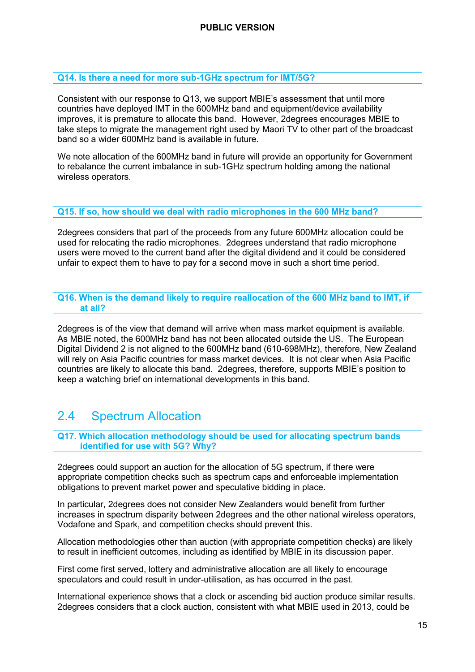#### **Q14. Is there a need for more sub-1GHz spectrum for IMT/5G?**

Consistent with our response to Q13, we support MBIE's assessment that until more countries have deployed IMT in the 600MHz band and equipment/device availability improves, it is premature to allocate this band. However, 2degrees encourages MBIE to take steps to migrate the management right used by Maori TV to other part of the broadcast band so a wider 600MHz band is available in future.

We note allocation of the 600MHz band in future will provide an opportunity for Government to rebalance the current imbalance in sub-1GHz spectrum holding among the national wireless operators.

#### **Q15. If so, how should we deal with radio microphones in the 600 MHz band?**

2degrees considers that part of the proceeds from any future 600MHz allocation could be used for relocating the radio microphones. 2degrees understand that radio microphone users were moved to the current band after the digital dividend and it could be considered unfair to expect them to have to pay for a second move in such a short time period.

**Q16. When is the demand likely to require reallocation of the 600 MHz band to IMT, if at all?** 

2degrees is of the view that demand will arrive when mass market equipment is available. As MBIE noted, the 600MHz band has not been allocated outside the US. The European Digital Dividend 2 is not aligned to the 600MHz band (610-698MHz), therefore, New Zealand will rely on Asia Pacific countries for mass market devices. It is not clear when Asia Pacific countries are likely to allocate this band. 2degrees, therefore, supports MBIE's position to keep a watching brief on international developments in this band.

# <span id="page-15-0"></span>2.4 Spectrum Allocation

**Q17. Which allocation methodology should be used for allocating spectrum bands identified for use with 5G? Why?** 

2degrees could support an auction for the allocation of 5G spectrum, if there were appropriate competition checks such as spectrum caps and enforceable implementation obligations to prevent market power and speculative bidding in place.

In particular, 2degrees does not consider New Zealanders would benefit from further increases in spectrum disparity between 2degrees and the other national wireless operators, Vodafone and Spark, and competition checks should prevent this.

Allocation methodologies other than auction (with appropriate competition checks) are likely to result in inefficient outcomes, including as identified by MBIE in its discussion paper.

First come first served, lottery and administrative allocation are all likely to encourage speculators and could result in under-utilisation, as has occurred in the past.

International experience shows that a clock or ascending bid auction produce similar results. 2degrees considers that a clock auction, consistent with what MBIE used in 2013, could be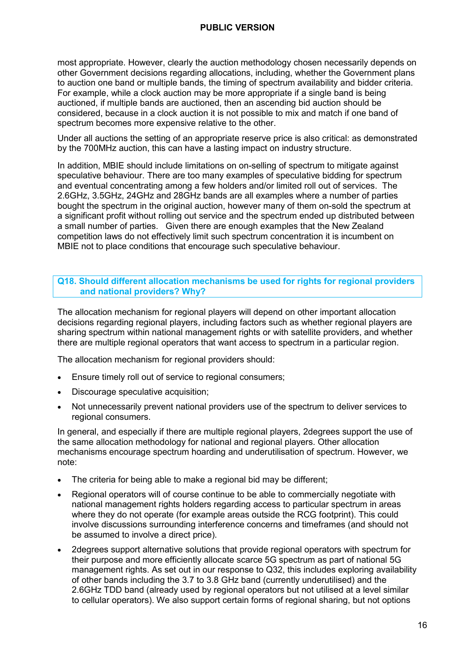most appropriate. However, clearly the auction methodology chosen necessarily depends on other Government decisions regarding allocations, including, whether the Government plans to auction one band or multiple bands, the timing of spectrum availability and bidder criteria. For example, while a clock auction may be more appropriate if a single band is being auctioned, if multiple bands are auctioned, then an ascending bid auction should be considered, because in a clock auction it is not possible to mix and match if one band of spectrum becomes more expensive relative to the other.

Under all auctions the setting of an appropriate reserve price is also critical: as demonstrated by the 700MHz auction, this can have a lasting impact on industry structure.

In addition, MBIE should include limitations on on-selling of spectrum to mitigate against speculative behaviour. There are too many examples of speculative bidding for spectrum and eventual concentrating among a few holders and/or limited roll out of services. The 2.6GHz, 3.5GHz, 24GHz and 28GHz bands are all examples where a number of parties bought the spectrum in the original auction, however many of them on-sold the spectrum at a significant profit without rolling out service and the spectrum ended up distributed between a small number of parties. Given there are enough examples that the New Zealand competition laws do not effectively limit such spectrum concentration it is incumbent on MBIE not to place conditions that encourage such speculative behaviour.

#### **Q18. Should different allocation mechanisms be used for rights for regional providers and national providers? Why?**

The allocation mechanism for regional players will depend on other important allocation decisions regarding regional players, including factors such as whether regional players are sharing spectrum within national management rights or with satellite providers, and whether there are multiple regional operators that want access to spectrum in a particular region.

The allocation mechanism for regional providers should:

- Ensure timely roll out of service to regional consumers;
- Discourage speculative acquisition;
- Not unnecessarily prevent national providers use of the spectrum to deliver services to regional consumers.

In general, and especially if there are multiple regional players, 2degrees support the use of the same allocation methodology for national and regional players. Other allocation mechanisms encourage spectrum hoarding and underutilisation of spectrum. However, we note:

- The criteria for being able to make a regional bid may be different;
- Regional operators will of course continue to be able to commercially negotiate with national management rights holders regarding access to particular spectrum in areas where they do not operate (for example areas outside the RCG footprint). This could involve discussions surrounding interference concerns and timeframes (and should not be assumed to involve a direct price).
- 2degrees support alternative solutions that provide regional operators with spectrum for their purpose and more efficiently allocate scarce 5G spectrum as part of national 5G management rights. As set out in our response to Q32, this includes exploring availability of other bands including the 3.7 to 3.8 GHz band (currently underutilised) and the 2.6GHz TDD band (already used by regional operators but not utilised at a level similar to cellular operators). We also support certain forms of regional sharing, but not options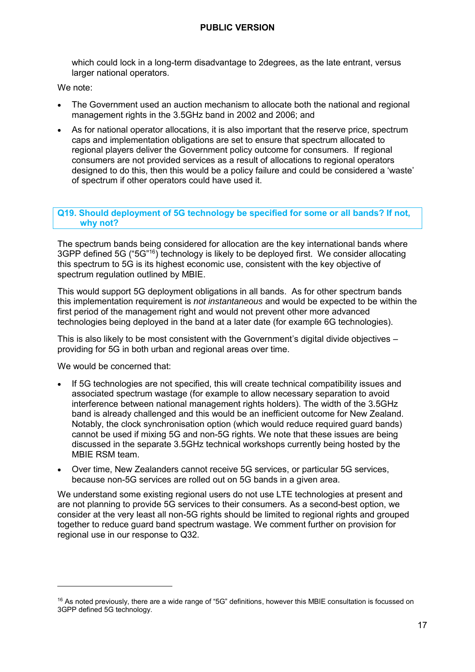which could lock in a long-term disadvantage to 2degrees, as the late entrant, versus larger national operators.

We note:

- The Government used an auction mechanism to allocate both the national and regional management rights in the 3.5GHz band in 2002 and 2006; and
- As for national operator allocations, it is also important that the reserve price, spectrum caps and implementation obligations are set to ensure that spectrum allocated to regional players deliver the Government policy outcome for consumers. If regional consumers are not provided services as a result of allocations to regional operators designed to do this, then this would be a policy failure and could be considered a 'waste' of spectrum if other operators could have used it.

#### **Q19. Should deployment of 5G technology be specified for some or all bands? If not, why not?**

The spectrum bands being considered for allocation are the key international bands where 3GPP defined 5G ("5G"<sup>16</sup>) technology is likely to be deployed first. We consider allocating this spectrum to 5G is its highest economic use, consistent with the key objective of spectrum regulation outlined by MBIE.

This would support 5G deployment obligations in all bands. As for other spectrum bands this implementation requirement is *not instantaneous* and would be expected to be within the first period of the management right and would not prevent other more advanced technologies being deployed in the band at a later date (for example 6G technologies).

This is also likely to be most consistent with the Government's digital divide objectives – providing for 5G in both urban and regional areas over time.

We would be concerned that:

-

- If 5G technologies are not specified, this will create technical compatibility issues and associated spectrum wastage (for example to allow necessary separation to avoid interference between national management rights holders). The width of the 3.5GHz band is already challenged and this would be an inefficient outcome for New Zealand. Notably, the clock synchronisation option (which would reduce required guard bands) cannot be used if mixing 5G and non-5G rights. We note that these issues are being discussed in the separate 3.5GHz technical workshops currently being hosted by the MBIE RSM team.
- Over time, New Zealanders cannot receive 5G services, or particular 5G services, because non-5G services are rolled out on 5G bands in a given area.

We understand some existing regional users do not use LTE technologies at present and are not planning to provide 5G services to their consumers. As a second-best option, we consider at the very least all non-5G rights should be limited to regional rights and grouped together to reduce guard band spectrum wastage. We comment further on provision for regional use in our response to Q32.

 $16$  As noted previously, there are a wide range of "5G" definitions, however this MBIE consultation is focussed on 3GPP defined 5G technology.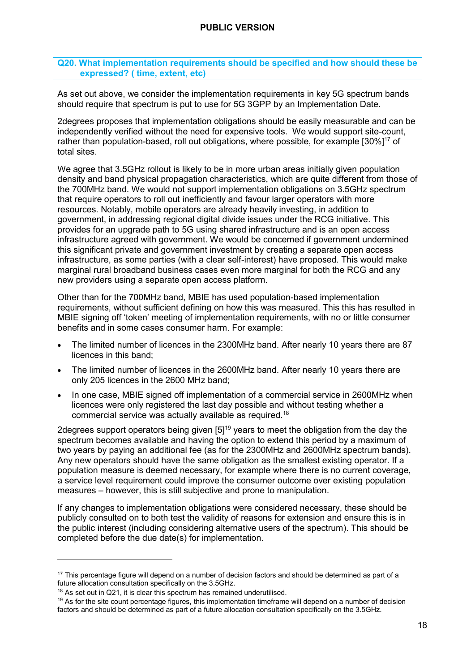#### **Q20. What implementation requirements should be specified and how should these be expressed? ( time, extent, etc)**

As set out above, we consider the implementation requirements in key 5G spectrum bands should require that spectrum is put to use for 5G 3GPP by an Implementation Date.

2degrees proposes that implementation obligations should be easily measurable and can be independently verified without the need for expensive tools. We would support site-count, rather than population-based, roll out obligations, where possible, for example [30%]<sup>17</sup> of total sites.

We agree that 3.5GHz rollout is likely to be in more urban areas initially given population density and band physical propagation characteristics, which are quite different from those of the 700MHz band. We would not support implementation obligations on 3.5GHz spectrum that require operators to roll out inefficiently and favour larger operators with more resources. Notably, mobile operators are already heavily investing, in addition to government, in addressing regional digital divide issues under the RCG initiative. This provides for an upgrade path to 5G using shared infrastructure and is an open access infrastructure agreed with government. We would be concerned if government undermined this significant private and government investment by creating a separate open access infrastructure, as some parties (with a clear self-interest) have proposed. This would make marginal rural broadband business cases even more marginal for both the RCG and any new providers using a separate open access platform.

Other than for the 700MHz band, MBIE has used population-based implementation requirements, without sufficient defining on how this was measured. This this has resulted in MBIE signing off 'token' meeting of implementation requirements, with no or little consumer benefits and in some cases consumer harm. For example:

- The limited number of licences in the 2300MHz band. After nearly 10 years there are 87 licences in this band;
- The limited number of licences in the 2600MHz band. After nearly 10 years there are only 205 licences in the 2600 MHz band;
- In one case, MBIE signed off implementation of a commercial service in 2600MHz when licences were only registered the last day possible and without testing whether a commercial service was actually available as required.<sup>18</sup>

2degrees support operators being given [5]<sup>19</sup> years to meet the obligation from the day the spectrum becomes available and having the option to extend this period by a maximum of two years by paying an additional fee (as for the 2300MHz and 2600MHz spectrum bands). Any new operators should have the same obligation as the smallest existing operator. If a population measure is deemed necessary, for example where there is no current coverage, a service level requirement could improve the consumer outcome over existing population measures – however, this is still subjective and prone to manipulation.

If any changes to implementation obligations were considered necessary, these should be publicly consulted on to both test the validity of reasons for extension and ensure this is in the public interest (including considering alternative users of the spectrum). This should be completed before the due date(s) for implementation.

<sup>&</sup>lt;sup>17</sup> This percentage figure will depend on a number of decision factors and should be determined as part of a future allocation consultation specifically on the 3.5GHz.

<sup>&</sup>lt;sup>18</sup> As set out in Q21, it is clear this spectrum has remained underutilised.

<sup>19</sup> As for the site count percentage figures, this implementation timeframe will depend on a number of decision factors and should be determined as part of a future allocation consultation specifically on the 3.5GHz.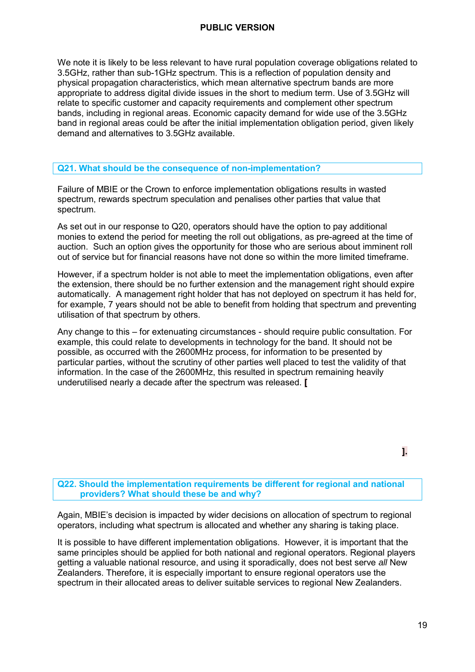We note it is likely to be less relevant to have rural population coverage obligations related to 3.5GHz, rather than sub-1GHz spectrum. This is a reflection of population density and physical propagation characteristics, which mean alternative spectrum bands are more appropriate to address digital divide issues in the short to medium term. Use of 3.5GHz will relate to specific customer and capacity requirements and complement other spectrum bands, including in regional areas. Economic capacity demand for wide use of the 3.5GHz band in regional areas could be after the initial implementation obligation period, given likely demand and alternatives to 3.5GHz available.

#### **Q21. What should be the consequence of non-implementation?**

Failure of MBIE or the Crown to enforce implementation obligations results in wasted spectrum, rewards spectrum speculation and penalises other parties that value that spectrum.

As set out in our response to Q20, operators should have the option to pay additional monies to extend the period for meeting the roll out obligations, as pre-agreed at the time of auction. Such an option gives the opportunity for those who are serious about imminent roll out of service but for financial reasons have not done so within the more limited timeframe.

However, if a spectrum holder is not able to meet the implementation obligations, even after the extension, there should be no further extension and the management right should expire automatically. A management right holder that has not deployed on spectrum it has held for, for example, 7 years should not be able to benefit from holding that spectrum and preventing utilisation of that spectrum by others.

Any change to this – for extenuating circumstances - should require public consultation. For example, this could relate to developments in technology for the band. It should not be possible, as occurred with the 2600MHz process, for information to be presented by particular parties, without the scrutiny of other parties well placed to test the validity of that information. In the case of the 2600MHz, this resulted in spectrum remaining heavily underutilised nearly a decade after the spectrum was released. **[**

**Q22. Should the implementation requirements be different for regional and national providers? What should these be and why?** 

Again, MBIE's decision is impacted by wider decisions on allocation of spectrum to regional operators, including what spectrum is allocated and whether any sharing is taking place.

It is possible to have different implementation obligations. However, it is important that the same principles should be applied for both national and regional operators. Regional players getting a valuable national resource, and using it sporadically, does not best serve *all* New Zealanders. Therefore, it is especially important to ensure regional operators use the spectrum in their allocated areas to deliver suitable services to regional New Zealanders.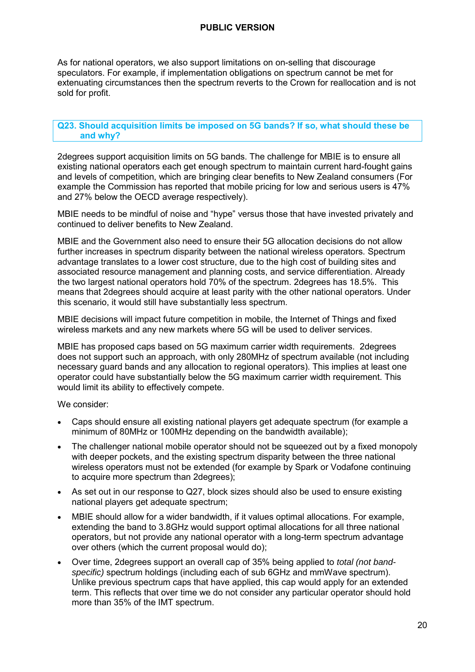As for national operators, we also support limitations on on-selling that discourage speculators. For example, if implementation obligations on spectrum cannot be met for extenuating circumstances then the spectrum reverts to the Crown for reallocation and is not sold for profit.

#### **Q23. Should acquisition limits be imposed on 5G bands? If so, what should these be and why?**

2degrees support acquisition limits on 5G bands. The challenge for MBIE is to ensure all existing national operators each get enough spectrum to maintain current hard-fought gains and levels of competition, which are bringing clear benefits to New Zealand consumers (For example the Commission has reported that mobile pricing for low and serious users is 47% and 27% below the OECD average respectively).

MBIE needs to be mindful of noise and "hype" versus those that have invested privately and continued to deliver benefits to New Zealand.

MBIE and the Government also need to ensure their 5G allocation decisions do not allow further increases in spectrum disparity between the national wireless operators. Spectrum advantage translates to a lower cost structure, due to the high cost of building sites and associated resource management and planning costs, and service differentiation. Already the two largest national operators hold 70% of the spectrum. 2degrees has 18.5%. This means that 2degrees should acquire at least parity with the other national operators. Under this scenario, it would still have substantially less spectrum.

MBIE decisions will impact future competition in mobile, the Internet of Things and fixed wireless markets and any new markets where 5G will be used to deliver services.

MBIE has proposed caps based on 5G maximum carrier width requirements. 2degrees does not support such an approach, with only 280MHz of spectrum available (not including necessary guard bands and any allocation to regional operators). This implies at least one operator could have substantially below the 5G maximum carrier width requirement. This would limit its ability to effectively compete.

We consider:

- Caps should ensure all existing national players get adequate spectrum (for example a minimum of 80MHz or 100MHz depending on the bandwidth available);
- The challenger national mobile operator should not be squeezed out by a fixed monopoly with deeper pockets, and the existing spectrum disparity between the three national wireless operators must not be extended (for example by Spark or Vodafone continuing to acquire more spectrum than 2degrees);
- As set out in our response to Q27, block sizes should also be used to ensure existing national players get adequate spectrum;
- MBIE should allow for a wider bandwidth, if it values optimal allocations. For example, extending the band to 3.8GHz would support optimal allocations for all three national operators, but not provide any national operator with a long-term spectrum advantage over others (which the current proposal would do);
- Over time, 2degrees support an overall cap of 35% being applied to *total (not bandspecific)* spectrum holdings (including each of sub 6GHz and mmWave spectrum). Unlike previous spectrum caps that have applied, this cap would apply for an extended term. This reflects that over time we do not consider any particular operator should hold more than 35% of the IMT spectrum.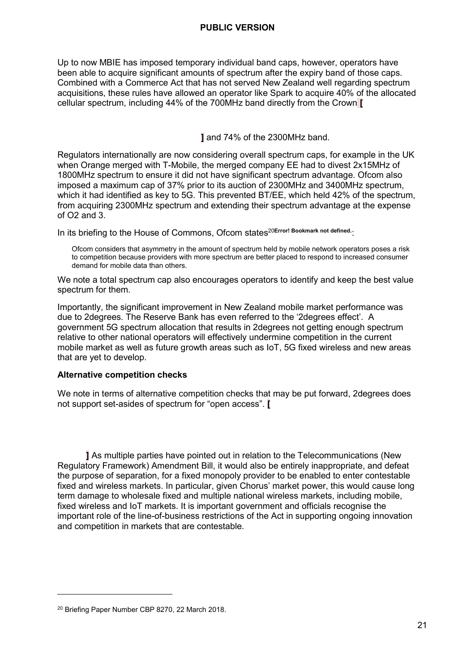Up to now MBIE has imposed temporary individual band caps, however, operators have been able to acquire significant amounts of spectrum after the expiry band of those caps. Combined with a Commerce Act that has not served New Zealand well regarding spectrum acquisitions, these rules have allowed an operator like Spark to acquire 40% of the allocated cellular spectrum, including 44% of the 700MHz band directly from the Crown **[**

**]** and 74% of the 2300MHz band.

Regulators internationally are now considering overall spectrum caps, for example in the UK when Orange merged with T-Mobile, the merged company EE had to divest 2x15MHz of 1800MHz spectrum to ensure it did not have significant spectrum advantage. Ofcom also imposed a maximum cap of 37% prior to its auction of 2300MHz and 3400MHz spectrum, which it had identified as key to 5G. This prevented BT/EE, which held 42% of the spectrum, from acquiring 2300MHz spectrum and extending their spectrum advantage at the expense of  $O2$  and  $3$ .

In its briefing to the House of Commons, Ofcom states<sup>20Error! Bookmark not defined.</sup>

Ofcom considers that asymmetry in the amount of spectrum held by mobile network operators poses a risk to competition because providers with more spectrum are better placed to respond to increased consumer demand for mobile data than others.

We note a total spectrum cap also encourages operators to identify and keep the best value spectrum for them.

Importantly, the significant improvement in New Zealand mobile market performance was due to 2degrees. The Reserve Bank has even referred to the '2degrees effect'. A government 5G spectrum allocation that results in 2degrees not getting enough spectrum relative to other national operators will effectively undermine competition in the current mobile market as well as future growth areas such as IoT, 5G fixed wireless and new areas that are yet to develop.

#### **Alternative competition checks**

We note in terms of alternative competition checks that may be put forward, 2degrees does not support set-asides of spectrum for "open access". **[** 

**]** As multiple parties have pointed out in relation to the Telecommunications (New Regulatory Framework) Amendment Bill, it would also be entirely inappropriate, and defeat the purpose of separation, for a fixed monopoly provider to be enabled to enter contestable fixed and wireless markets. In particular, given Chorus' market power, this would cause long term damage to wholesale fixed and multiple national wireless markets, including mobile, fixed wireless and IoT markets. It is important government and officials recognise the important role of the line-of-business restrictions of the Act in supporting ongoing innovation and competition in markets that are contestable.

<sup>20</sup> Briefing Paper Number CBP 8270, 22 March 2018.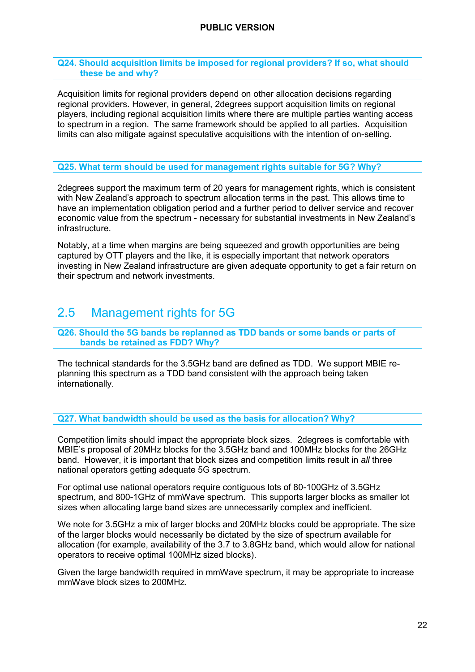#### **Q24. Should acquisition limits be imposed for regional providers? If so, what should these be and why?**

Acquisition limits for regional providers depend on other allocation decisions regarding regional providers. However, in general, 2degrees support acquisition limits on regional players, including regional acquisition limits where there are multiple parties wanting access to spectrum in a region. The same framework should be applied to all parties. Acquisition limits can also mitigate against speculative acquisitions with the intention of on-selling.

#### **Q25. What term should be used for management rights suitable for 5G? Why?**

2degrees support the maximum term of 20 years for management rights, which is consistent with New Zealand's approach to spectrum allocation terms in the past. This allows time to have an implementation obligation period and a further period to deliver service and recover economic value from the spectrum - necessary for substantial investments in New Zealand's infrastructure.

Notably, at a time when margins are being squeezed and growth opportunities are being captured by OTT players and the like, it is especially important that network operators investing in New Zealand infrastructure are given adequate opportunity to get a fair return on their spectrum and network investments.

# <span id="page-22-0"></span>2.5 Management rights for 5G

#### **Q26. Should the 5G bands be replanned as TDD bands or some bands or parts of bands be retained as FDD? Why?**

The technical standards for the 3.5GHz band are defined as TDD. We support MBIE replanning this spectrum as a TDD band consistent with the approach being taken internationally.

**Q27. What bandwidth should be used as the basis for allocation? Why?** 

Competition limits should impact the appropriate block sizes. 2degrees is comfortable with MBIE's proposal of 20MHz blocks for the 3.5GHz band and 100MHz blocks for the 26GHz band. However, it is important that block sizes and competition limits result in *all* three national operators getting adequate 5G spectrum.

For optimal use national operators require contiguous lots of 80-100GHz of 3.5GHz spectrum, and 800-1GHz of mmWave spectrum. This supports larger blocks as smaller lot sizes when allocating large band sizes are unnecessarily complex and inefficient.

We note for 3.5GHz a mix of larger blocks and 20MHz blocks could be appropriate. The size of the larger blocks would necessarily be dictated by the size of spectrum available for allocation (for example, availability of the 3.7 to 3.8GHz band, which would allow for national operators to receive optimal 100MHz sized blocks).

Given the large bandwidth required in mmWave spectrum, it may be appropriate to increase mmWave block sizes to 200MHz.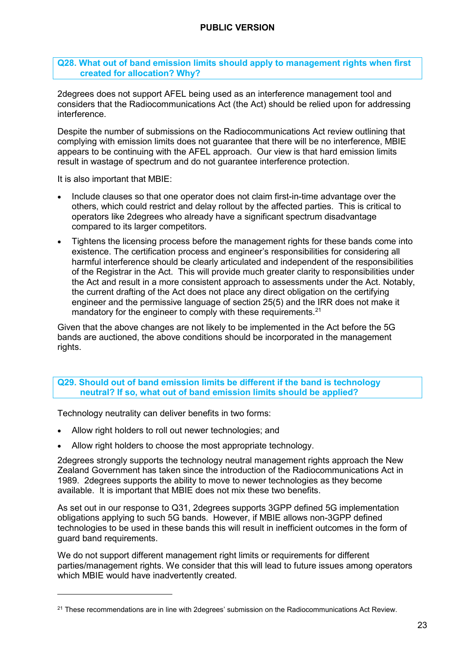#### **Q28. What out of band emission limits should apply to management rights when first created for allocation? Why?**

2degrees does not support AFEL being used as an interference management tool and considers that the Radiocommunications Act (the Act) should be relied upon for addressing interference.

Despite the number of submissions on the Radiocommunications Act review outlining that complying with emission limits does not guarantee that there will be no interference, MBIE appears to be continuing with the AFEL approach. Our view is that hard emission limits result in wastage of spectrum and do not guarantee interference protection.

It is also important that MBIE:

-

- Include clauses so that one operator does not claim first-in-time advantage over the others, which could restrict and delay rollout by the affected parties. This is critical to operators like 2degrees who already have a significant spectrum disadvantage compared to its larger competitors.
- Tightens the licensing process before the management rights for these bands come into existence. The certification process and engineer's responsibilities for considering all harmful interference should be clearly articulated and independent of the responsibilities of the Registrar in the Act. This will provide much greater clarity to responsibilities under the Act and result in a more consistent approach to assessments under the Act. Notably, the current drafting of the Act does not place any direct obligation on the certifying engineer and the permissive language of section 25(5) and the IRR does not make it mandatory for the engineer to comply with these requirements.<sup>21</sup>

Given that the above changes are not likely to be implemented in the Act before the 5G bands are auctioned, the above conditions should be incorporated in the management rights.

#### **Q29. Should out of band emission limits be different if the band is technology neutral? If so, what out of band emission limits should be applied?**

Technology neutrality can deliver benefits in two forms:

- Allow right holders to roll out newer technologies; and
- Allow right holders to choose the most appropriate technology.

2degrees strongly supports the technology neutral management rights approach the New Zealand Government has taken since the introduction of the Radiocommunications Act in 1989. 2degrees supports the ability to move to newer technologies as they become available. It is important that MBIE does not mix these two benefits.

As set out in our response to Q31, 2degrees supports 3GPP defined 5G implementation obligations applying to such 5G bands. However, if MBIE allows non-3GPP defined technologies to be used in these bands this will result in inefficient outcomes in the form of guard band requirements.

We do not support different management right limits or requirements for different parties/management rights. We consider that this will lead to future issues among operators which MBIE would have inadvertently created.

 $21$  These recommendations are in line with 2degrees' submission on the Radiocommunications Act Review.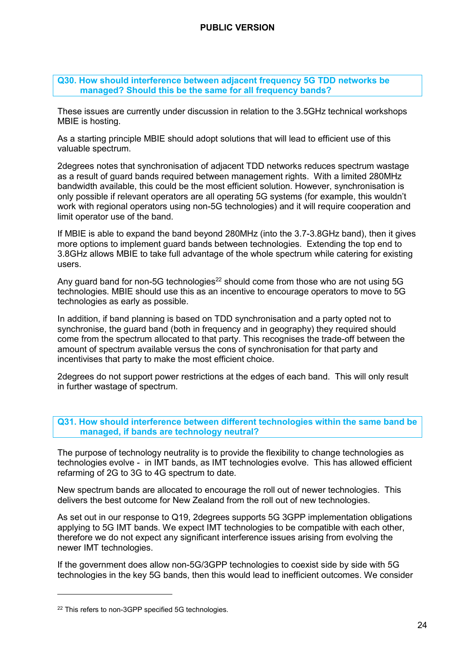**Q30. How should interference between adjacent frequency 5G TDD networks be managed? Should this be the same for all frequency bands?** 

These issues are currently under discussion in relation to the 3.5GHz technical workshops MBIE is hosting.

As a starting principle MBIE should adopt solutions that will lead to efficient use of this valuable spectrum.

2degrees notes that synchronisation of adjacent TDD networks reduces spectrum wastage as a result of guard bands required between management rights. With a limited 280MHz bandwidth available, this could be the most efficient solution. However, synchronisation is only possible if relevant operators are all operating 5G systems (for example, this wouldn't work with regional operators using non-5G technologies) and it will require cooperation and limit operator use of the band.

If MBIE is able to expand the band beyond 280MHz (into the 3.7-3.8GHz band), then it gives more options to implement guard bands between technologies. Extending the top end to 3.8GHz allows MBIE to take full advantage of the whole spectrum while catering for existing users.

Any guard band for non-5G technologies<sup>22</sup> should come from those who are not using 5G technologies. MBIE should use this as an incentive to encourage operators to move to 5G technologies as early as possible.

In addition, if band planning is based on TDD synchronisation and a party opted not to synchronise, the guard band (both in frequency and in geography) they required should come from the spectrum allocated to that party. This recognises the trade-off between the amount of spectrum available versus the cons of synchronisation for that party and incentivises that party to make the most efficient choice.

2degrees do not support power restrictions at the edges of each band. This will only result in further wastage of spectrum.

**Q31. How should interference between different technologies within the same band be managed, if bands are technology neutral?** 

The purpose of technology neutrality is to provide the flexibility to change technologies as technologies evolve - in IMT bands, as IMT technologies evolve. This has allowed efficient refarming of 2G to 3G to 4G spectrum to date.

New spectrum bands are allocated to encourage the roll out of newer technologies. This delivers the best outcome for New Zealand from the roll out of new technologies.

As set out in our response to Q19, 2degrees supports 5G 3GPP implementation obligations applying to 5G IMT bands. We expect IMT technologies to be compatible with each other, therefore we do not expect any significant interference issues arising from evolving the newer IMT technologies.

If the government does allow non-5G/3GPP technologies to coexist side by side with 5G technologies in the key 5G bands, then this would lead to inefficient outcomes. We consider

<sup>22</sup> This refers to non-3GPP specified 5G technologies.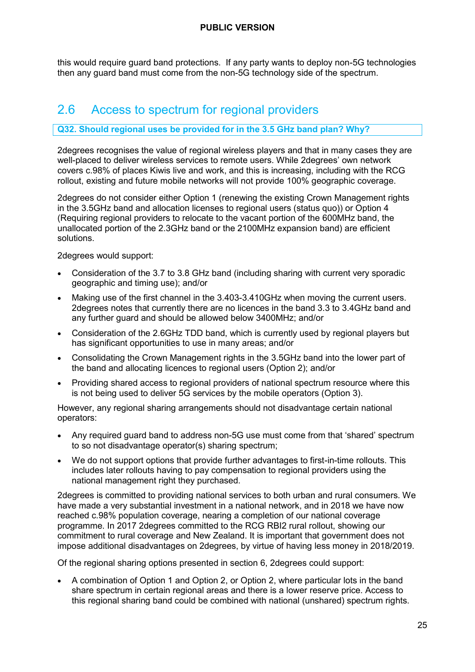this would require guard band protections. If any party wants to deploy non-5G technologies then any guard band must come from the non-5G technology side of the spectrum.

### <span id="page-25-0"></span>2.6 Access to spectrum for regional providers

#### **Q32. Should regional uses be provided for in the 3.5 GHz band plan? Why?**

2degrees recognises the value of regional wireless players and that in many cases they are well-placed to deliver wireless services to remote users. While 2degrees' own network covers c.98% of places Kiwis live and work, and this is increasing, including with the RCG rollout, existing and future mobile networks will not provide 100% geographic coverage.

2degrees do not consider either Option 1 (renewing the existing Crown Management rights in the 3.5GHz band and allocation licenses to regional users (status quo)) or Option 4 (Requiring regional providers to relocate to the vacant portion of the 600MHz band, the unallocated portion of the 2.3GHz band or the 2100MHz expansion band) are efficient solutions.

2degrees would support:

- Consideration of the 3.7 to 3.8 GHz band (including sharing with current very sporadic geographic and timing use); and/or
- Making use of the first channel in the 3.403-3.410GHz when moving the current users. 2degrees notes that currently there are no licences in the band 3.3 to 3.4GHz band and any further guard and should be allowed below 3400MHz; and/or
- Consideration of the 2.6GHz TDD band, which is currently used by regional players but has significant opportunities to use in many areas; and/or
- Consolidating the Crown Management rights in the 3.5GHz band into the lower part of the band and allocating licences to regional users (Option 2); and/or
- Providing shared access to regional providers of national spectrum resource where this is not being used to deliver 5G services by the mobile operators (Option 3).

However, any regional sharing arrangements should not disadvantage certain national operators:

- Any required guard band to address non-5G use must come from that 'shared' spectrum to so not disadvantage operator(s) sharing spectrum;
- We do not support options that provide further advantages to first-in-time rollouts. This includes later rollouts having to pay compensation to regional providers using the national management right they purchased.

2degrees is committed to providing national services to both urban and rural consumers. We have made a very substantial investment in a national network, and in 2018 we have now reached c.98% population coverage, nearing a completion of our national coverage programme. In 2017 2degrees committed to the RCG RBI2 rural rollout, showing our commitment to rural coverage and New Zealand. It is important that government does not impose additional disadvantages on 2degrees, by virtue of having less money in 2018/2019.

Of the regional sharing options presented in section 6, 2degrees could support:

• A combination of Option 1 and Option 2, or Option 2, where particular lots in the band share spectrum in certain regional areas and there is a lower reserve price. Access to this regional sharing band could be combined with national (unshared) spectrum rights.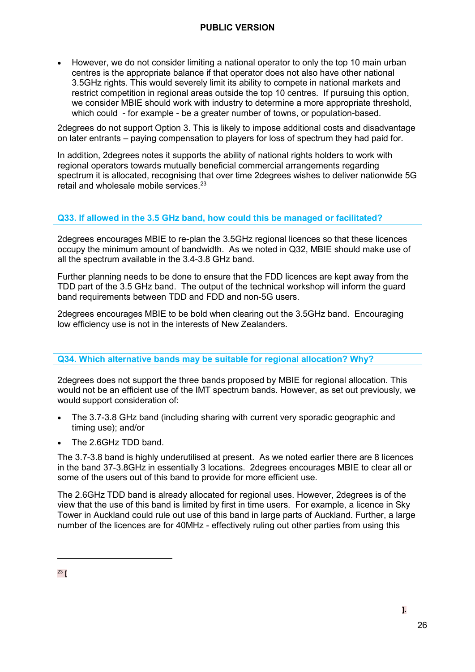• However, we do not consider limiting a national operator to only the top 10 main urban centres is the appropriate balance if that operator does not also have other national 3.5GHz rights. This would severely limit its ability to compete in national markets and restrict competition in regional areas outside the top 10 centres. If pursuing this option, we consider MBIE should work with industry to determine a more appropriate threshold, which could - for example - be a greater number of towns, or population-based.

2degrees do not support Option 3. This is likely to impose additional costs and disadvantage on later entrants – paying compensation to players for loss of spectrum they had paid for.

In addition, 2degrees notes it supports the ability of national rights holders to work with regional operators towards mutually beneficial commercial arrangements regarding spectrum it is allocated, recognising that over time 2degrees wishes to deliver nationwide 5G retail and wholesale mobile services. 23

#### **Q33. If allowed in the 3.5 GHz band, how could this be managed or facilitated?**

2degrees encourages MBIE to re-plan the 3.5GHz regional licences so that these licences occupy the minimum amount of bandwidth. As we noted in Q32, MBIE should make use of all the spectrum available in the 3.4-3.8 GHz band.

Further planning needs to be done to ensure that the FDD licences are kept away from the TDD part of the 3.5 GHz band. The output of the technical workshop will inform the guard band requirements between TDD and FDD and non-5G users.

2degrees encourages MBIE to be bold when clearing out the 3.5GHz band. Encouraging low efficiency use is not in the interests of New Zealanders.

#### **Q34. Which alternative bands may be suitable for regional allocation? Why?**

2degrees does not support the three bands proposed by MBIE for regional allocation. This would not be an efficient use of the IMT spectrum bands. However, as set out previously, we would support consideration of:

- The 3.7-3.8 GHz band (including sharing with current very sporadic geographic and timing use); and/or
- The 2.6GHz TDD band.

The 3.7-3.8 band is highly underutilised at present. As we noted earlier there are 8 licences in the band 37-3.8GHz in essentially 3 locations. 2degrees encourages MBIE to clear all or some of the users out of this band to provide for more efficient use.

The 2.6GHz TDD band is already allocated for regional uses. However, 2degrees is of the view that the use of this band is limited by first in time users. For example, a licence in Sky Tower in Auckland could rule out use of this band in large parts of Auckland. Further, a large number of the licences are for 40MHz - effectively ruling out other parties from using this

<sup>23</sup> **[**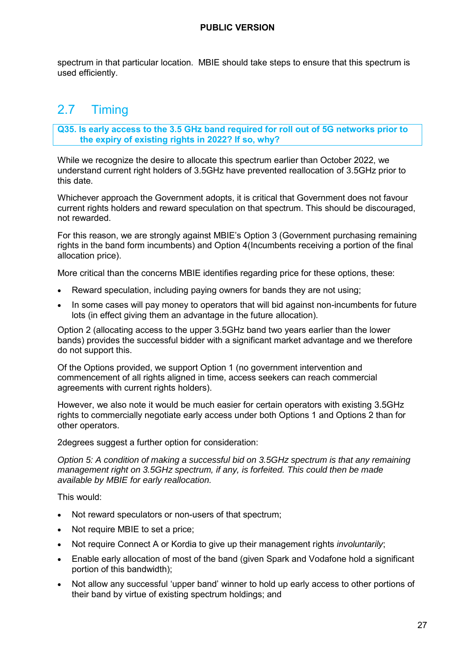spectrum in that particular location. MBIE should take steps to ensure that this spectrum is used efficiently.

# <span id="page-27-0"></span>2.7 Timing

**Q35. Is early access to the 3.5 GHz band required for roll out of 5G networks prior to the expiry of existing rights in 2022? If so, why?** 

While we recognize the desire to allocate this spectrum earlier than October 2022, we understand current right holders of 3.5GHz have prevented reallocation of 3.5GHz prior to this date.

Whichever approach the Government adopts, it is critical that Government does not favour current rights holders and reward speculation on that spectrum. This should be discouraged, not rewarded.

For this reason, we are strongly against MBIE's Option 3 (Government purchasing remaining rights in the band form incumbents) and Option 4(Incumbents receiving a portion of the final allocation price).

More critical than the concerns MBIE identifies regarding price for these options, these:

- Reward speculation, including paying owners for bands they are not using;
- In some cases will pay money to operators that will bid against non-incumbents for future lots (in effect giving them an advantage in the future allocation).

Option 2 (allocating access to the upper 3.5GHz band two years earlier than the lower bands) provides the successful bidder with a significant market advantage and we therefore do not support this.

Of the Options provided, we support Option 1 (no government intervention and commencement of all rights aligned in time, access seekers can reach commercial agreements with current rights holders).

However, we also note it would be much easier for certain operators with existing 3.5GHz rights to commercially negotiate early access under both Options 1 and Options 2 than for other operators.

2degrees suggest a further option for consideration:

*Option 5: A condition of making a successful bid on 3.5GHz spectrum is that any remaining management right on 3.5GHz spectrum, if any, is forfeited. This could then be made available by MBIE for early reallocation.* 

This would:

- Not reward speculators or non-users of that spectrum;
- Not require MBIE to set a price;
- Not require Connect A or Kordia to give up their management rights *involuntarily*;
- Enable early allocation of most of the band (given Spark and Vodafone hold a significant portion of this bandwidth);
- Not allow any successful 'upper band' winner to hold up early access to other portions of their band by virtue of existing spectrum holdings; and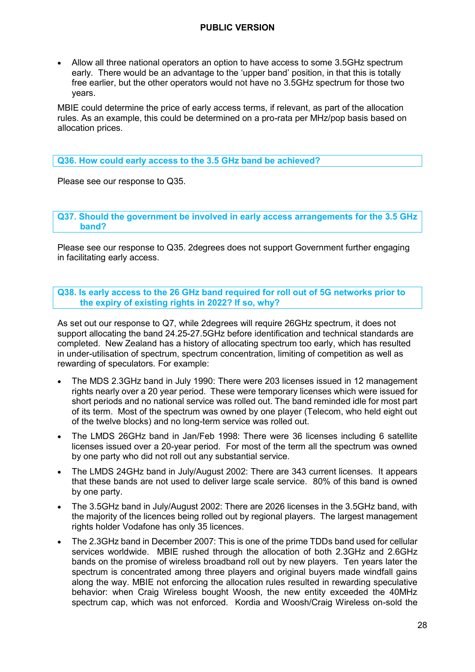• Allow all three national operators an option to have access to some 3.5GHz spectrum early. There would be an advantage to the 'upper band' position, in that this is totally free earlier, but the other operators would not have no 3.5GHz spectrum for those two years.

MBIE could determine the price of early access terms, if relevant, as part of the allocation rules. As an example, this could be determined on a pro-rata per MHz/pop basis based on allocation prices.

#### **Q36. How could early access to the 3.5 GHz band be achieved?**

Please see our response to Q35.

**Q37. Should the government be involved in early access arrangements for the 3.5 GHz band?** 

Please see our response to Q35. 2degrees does not support Government further engaging in facilitating early access.

**Q38. Is early access to the 26 GHz band required for roll out of 5G networks prior to the expiry of existing rights in 2022? If so, why?** 

As set out our response to Q7, while 2degrees will require 26GHz spectrum, it does not support allocating the band 24.25-27.5GHz before identification and technical standards are completed. New Zealand has a history of allocating spectrum too early, which has resulted in under-utilisation of spectrum, spectrum concentration, limiting of competition as well as rewarding of speculators. For example:

- The MDS 2.3GHz band in July 1990: There were 203 licenses issued in 12 management rights nearly over a 20 year period. These were temporary licenses which were issued for short periods and no national service was rolled out. The band reminded idle for most part of its term. Most of the spectrum was owned by one player (Telecom, who held eight out of the twelve blocks) and no long-term service was rolled out.
- The LMDS 26GHz band in Jan/Feb 1998: There were 36 licenses including 6 satellite licenses issued over a 20-year period. For most of the term all the spectrum was owned by one party who did not roll out any substantial service.
- The LMDS 24GHz band in July/August 2002: There are 343 current licenses. It appears that these bands are not used to deliver large scale service. 80% of this band is owned by one party.
- The 3.5GHz band in July/August 2002: There are 2026 licenses in the 3.5GHz band, with the majority of the licences being rolled out by regional players. The largest management rights holder Vodafone has only 35 licences.
- The 2.3GHz band in December 2007: This is one of the prime TDDs band used for cellular services worldwide. MBIE rushed through the allocation of both 2.3GHz and 2.6GHz bands on the promise of wireless broadband roll out by new players. Ten years later the spectrum is concentrated among three players and original buyers made windfall gains along the way. MBIE not enforcing the allocation rules resulted in rewarding speculative behavior: when Craig Wireless bought Woosh, the new entity exceeded the 40MHz spectrum cap, which was not enforced. Kordia and Woosh/Craig Wireless on-sold the